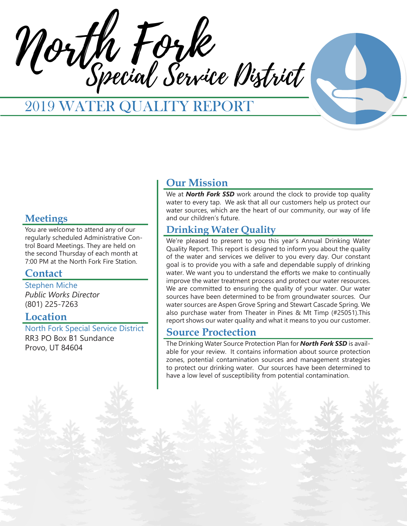North Fork Special Service District



# 2019 WATER QUALITY REPORT

## **Meetings**

You are welcome to attend any of our regularly scheduled Administrative Control Board Meetings. They are held on the second Thursday of each month at 7:00 PM at the North Fork Fire Station.

## **Contact**

Stephen Miche *Public Works Director* (801) 225-7263

## **Location**

North Fork Special Service District RR3 PO Box B1 Sundance Provo, UT 84604

## **Our Mission**

We at **North Fork SSD** work around the clock to provide top quality water to every tap. We ask that all our customers help us protect our water sources, which are the heart of our community, our way of life and our children's future.

## **Drinking Water Quality**

We're pleased to present to you this year's Annual Drinking Water Quality Report. This report is designed to inform you about the quality of the water and services we deliver to you every day. Our constant goal is to provide you with a safe and dependable supply of drinking water. We want you to understand the efforts we make to continually improve the water treatment process and protect our water resources. We are committed to ensuring the quality of your water. Our water sources have been determined to be from groundwater sources. Our water sources are Aspen Grove Spring and Stewart Cascade Spring. We also purchase water from Theater in Pines & Mt Timp (#25051).This report shows our water quality and what it means to you our customer.

## **Source Proctection**

The Drinking Water Source Protection Plan for *North Fork SSD* is available for your review. It contains information about source protection zones, potential contamination sources and management strategies to protect our drinking water. Our sources have been determined to have a low level of susceptibility from potential contamination.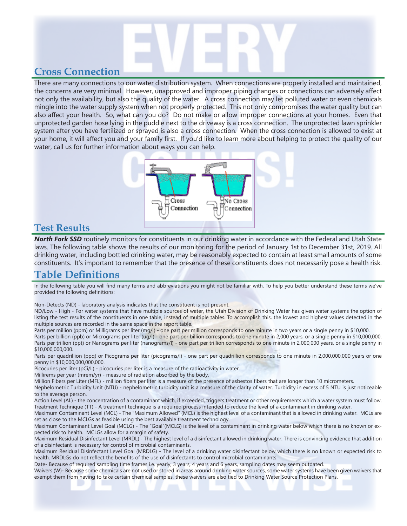# **Cross Connection**

There are many connections to our water distribution system. When connections are properly installed and maintained, the concerns are very minimal. However, unapproved and improper piping changes or connections can adversely affect not only the availability, but also the quality of the water. A cross connection may let polluted water or even chemicals mingle into the water supply system when not properly protected. This not only compromises the water quality but can also affect your health. So, what can you do? Do not make or allow improper connections at your homes. Even that unprotected garden hose lying in the puddle next to the driveway is a cross connection. The unprotected lawn sprinkler system after you have fertilized or sprayed is also a cross connection. When the cross connection is allowed to exist at your home, it will affect you and your family first. If you'd like to learn more about helping to protect the quality of our water, call us for further information about ways you can help.



#### **Test Results**

*North Fork SSD* routinely monitors for constituents in our drinking water in accordance with the Federal and Utah State laws. The following table shows the results of our monitoring for the period of January 1st to December 31st, 2019. All drinking water, including bottled drinking water, may be reasonably expected to contain at least small amounts of some constituents. It's important to remember that the presence of these constituents does not necessarily pose a health risk.

## **Table Definitions**

In the following table you will find many terms and abbreviations you might not be familiar with. To help you better understand these terms we've provided the following definitions:

Non-Detects (ND) - laboratory analysis indicates that the constituent is not present.

ND/Low - High - For water systems that have multiple sources of water, the Utah Division of Drinking Water has given water systems the option of listing the test results of the constituents in one table, instead of multiple tables. To accomplish this, the lowest and highest values detected in the multiple sources are recorded in the same space in the report table.

Parts per million (ppm) or Milligrams per liter (mg/l) - one part per million corresponds to one minute in two years or a single penny in \$10,000. Parts per billion (ppb) or Micrograms per liter (ug/l) - one part per billion corresponds to one minute in 2,000 years, or a single penny in \$10,000,000.

Parts per trillion (ppt) or Nanograms per liter (nanograms/l) - one part per trillion corresponds to one minute in 2,000,000 years, or a single penny in \$10,000,000,000.

Parts per quadrillion (ppq) or Picograms per liter (picograms/l) - one part per quadrillion corresponds to one minute in 2,000,000,000 years or one penny in \$10,000,000,000,000.

Picocuries per liter (pCi/L) - picocuries per liter is a measure of the radioactivity in water.

Millirems per year (mrem/yr) - measure of radiation absorbed by the body.

Million Fibers per Liter (MFL) - million fibers per liter is a measure of the presence of asbestos fibers that are longer than 10 micrometers.

Nephelometric Turbidity Unit (NTU) - nephelometric turbidity unit is a measure of the clarity of water. Turbidity in excess of 5 NTU is just noticeable to the average person.

Action Level (AL) - the concentration of a contaminant which, if exceeded, triggers treatment or other requirements which a water system must follow. Treatment Technique (TT) - A treatment technique is a required process intended to reduce the level of a contaminant in drinking water.

Maximum Contaminant Level (MCL) - The "Maximum Allowed" (MCL) is the highest level of a contaminant that is allowed in drinking water. MCLs are set as close to the MCLGs as feasible using the best available treatment technology.

Maximum Contaminant Level Goal (MCLG) - The "Goal"(MCLG) is the level of a contaminant in drinking water below which there is no known or expected risk to health. MCLGs allow for a margin of safety.

Maximum Residual Disinfectant Level (MRDL) - The highest level of a disinfectant allowed in drinking water. There is convincing evidence that addition of a disinfectant is necessary for control of microbial contaminants.

Maximum Residual Disinfectant Level Goal (MRDLG) - The level of a drinking water disinfectant below which there is no known or expected risk to health. MRDLGs do not reflect the benefits of the use of disinfectants to control microbial contaminants.

Date- Because of required sampling time frames i.e. yearly, 3 years, 4 years and 6 years, sampling dates may seem outdated.

Waivers (W)- Because some chemicals are not used or stored in areas around drinking water sources, some water systems have been given waivers that exempt them from having to take certain chemical samples, these waivers are also tied to Drinking Water Source Protection Plans.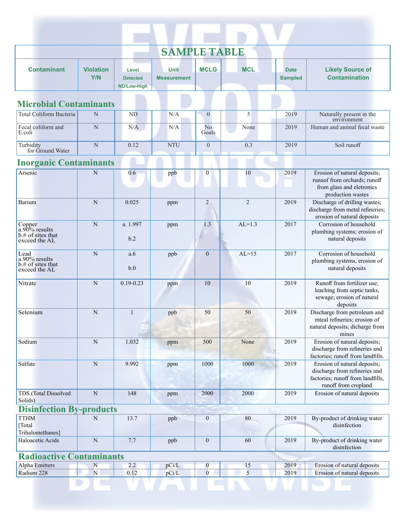| <b>SAMPLE TABLE</b>                                              |                         |                                         |                                   |                  |                |                               |                                                                                                                            |
|------------------------------------------------------------------|-------------------------|-----------------------------------------|-----------------------------------|------------------|----------------|-------------------------------|----------------------------------------------------------------------------------------------------------------------------|
| <b>Contaminant</b>                                               | <b>Violation</b><br>Y/N | Level<br><b>Detected</b><br>ND/Low-High | <b>Unit</b><br><b>Measurement</b> | <b>MCLG</b>      | <b>MCL</b>     | <b>Date</b><br><b>Sampled</b> | <b>Likely Source of</b><br><b>Contamination</b>                                                                            |
| <b>Microbial Contaminants</b>                                    |                         |                                         |                                   |                  |                |                               |                                                                                                                            |
| Total Coliform Bacteria                                          | N                       | ND                                      | N/A                               | $\overline{0}$   | 5              | 2019                          | Naturally present in the<br>environment                                                                                    |
| Fecal coliform and<br>E.coli                                     | $\mathbf N$             | N/A                                     | N/A                               | No<br>Goals      | None           | 2019                          | Human and animal fecal waste                                                                                               |
| Turbidity<br>for Ground Water                                    | $\mathbf N$             | 0.12                                    | <b>NTU</b>                        | $\boldsymbol{0}$ | 0.3            | 2019                          | Soil runoff                                                                                                                |
| <b>Inorganic Contaminants</b>                                    |                         |                                         |                                   |                  |                |                               |                                                                                                                            |
| Arsenic                                                          | N                       | 0.6                                     | ppb                               | $\mathbf{0}$     | 10             | 2019                          | Erosion of natural deposits;<br>runnof from orchards; runoff<br>from glass and eletronics<br>production wastes             |
| Barium                                                           | $\mathbf N$             | 0.025                                   | ppm                               | $\overline{2}$   | $\overline{2}$ | 2019                          | Discharge of drilling wastes;<br>discharge from metal refineries;<br>erosion of natural deposits                           |
| Copper<br>$a.90\%$ results<br>b.# of sites that<br>exceed the AL | $\mathbf N$             | a. 1.997<br>b.2                         | ppm                               | 1.3              | $AL=1.3$       | 2017                          | Corrosion of household<br>plumbing systems; erosion of<br>natural deposits                                                 |
| Lead<br>a.90% results<br>b.# of sites that<br>exceed the AL      | N                       | a.6<br>b.0                              | ppb                               | $\mathbf{0}$     | $AL=15$        | 2017                          | Corrosion of household<br>plumbing systems, erosion of<br>natural deposits                                                 |
| Nitrate                                                          | $\mathbf N$             | $0.19 - 0.23$                           | ppm                               | 10               | 10             | 2019                          | Runoff from fertilizer use;<br>leaching from septic tanks,<br>sewage; erosion of natural<br>deposits                       |
| Selenium                                                         | N                       | $\mathbf{1}$                            | ppb                               | 50               | 50             | 2019                          | Discharge from petroleum and<br>mteal refineries; erosion of<br>natural deposits; dicharge from<br>mines                   |
| Sodium                                                           | ${\bf N}$               | 1.032                                   | ppm                               | 500              | None           | 2019                          | Erosion of natural deposits;<br>discharge from refineries and<br>factories; runoff from landfills.                         |
| Sulfate                                                          | ${\bf N}$               | 9.992                                   | ppm                               | 1000             | 1000           | 2019                          | Erosion of natural deposits;<br>discharge from refineries and<br>factories; runoff from landfills,<br>runoff from cropland |
| TDS (Total Dissolved<br>Solids)                                  | ${\bf N}$               | 148                                     | ppm                               | 2000             | 2000           | 2019                          | Erosion of natural deposits                                                                                                |
| <b>Disinfection By-products</b>                                  |                         |                                         |                                   |                  |                |                               |                                                                                                                            |
| <b>TTHM</b><br>[Total<br>Trihalomethanes]                        | $\mathbf N$             | 13.7                                    | ppb                               | $\mathbf{0}$     | $80\,$         | 2019                          | By-product of drinking water<br>disinfection                                                                               |
| Haloacetic Acids                                                 | ${\bf N}$               | 7.7                                     | ppb                               | $\mathbf{0}$     | 60             | 2019                          | By-product of drinking water<br>disinfection                                                                               |
| <b>Radioactive Contaminants</b>                                  |                         |                                         |                                   |                  |                |                               |                                                                                                                            |
| Alpha Emitters                                                   | $\mathbf N$             | 2.2                                     | pCi/L                             | $\boldsymbol{0}$ | 15             | 2019                          | Erosion of natural deposits                                                                                                |
| Radium 228                                                       | $\bar{\text{N}}$        | 0.12                                    | pCi/L                             | $\boldsymbol{0}$ | 5              | 2019                          | Erosion of natural deposits                                                                                                |

D